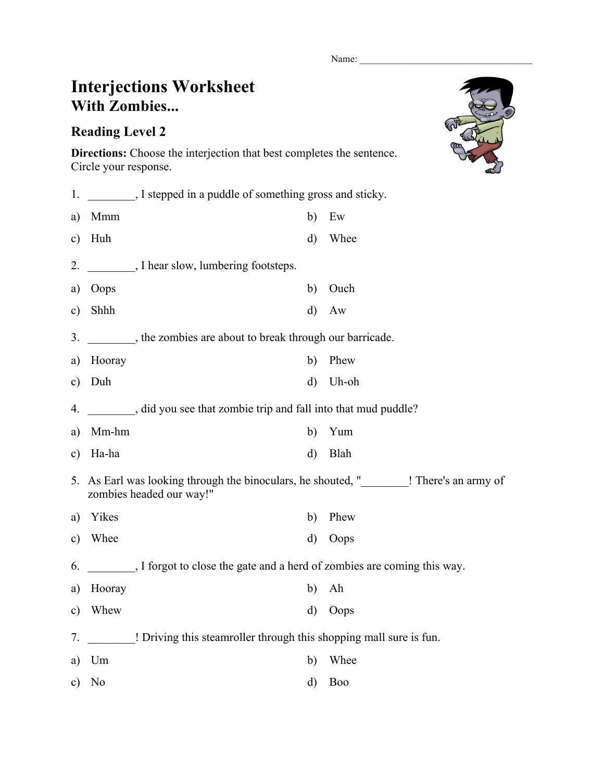Name:

## **Interjections Worksheet With Zombies...**

## **Reading Level 2**

**Directions:** Choose the interjection that best completes the sentence. Circle your response.

| 1.            |                                                                                                                     |                                                                       |  |            |  |
|---------------|---------------------------------------------------------------------------------------------------------------------|-----------------------------------------------------------------------|--|------------|--|
| a)            | Mmm                                                                                                                 | b)                                                                    |  | Ew         |  |
| $\mathbf{c})$ | Huh                                                                                                                 | $\mathbf{d}$                                                          |  | Whee       |  |
| 2.            |                                                                                                                     | I hear slow, lumbering footsteps.                                     |  |            |  |
| a)            | Oops                                                                                                                | b)                                                                    |  | Ouch       |  |
| $\mathbf{c})$ | Shhh                                                                                                                | $\mathbf{d}$                                                          |  | Aw         |  |
| 3.            |                                                                                                                     | the zombies are about to break through our barricade.                 |  |            |  |
| a)            | Hooray                                                                                                              | b)                                                                    |  | Phew       |  |
| $\mathbf{c})$ | Duh                                                                                                                 | $\mathbf{d}$                                                          |  | Uh-oh      |  |
| 4.            | did you see that zombie trip and fall into that mud puddle?                                                         |                                                                       |  |            |  |
| a)            | Mm-hm                                                                                                               | b)                                                                    |  | Yum        |  |
| $\mathbf{c})$ | Ha-ha                                                                                                               | $\mathbf{d}$                                                          |  | Blah       |  |
|               | 5. As Earl was looking through the binoculars, he shouted, "_______! There's an army of<br>zombies headed our way!" |                                                                       |  |            |  |
| a)            | Yikes                                                                                                               | b)                                                                    |  | Phew       |  |
| $\mathbf{c})$ | Whee                                                                                                                | d)                                                                    |  | Oops       |  |
| 6.            |                                                                                                                     | I forgot to close the gate and a herd of zombies are coming this way. |  |            |  |
| a)            | Hooray                                                                                                              | b)                                                                    |  | Ah         |  |
| $\mathbf{c})$ | Whew                                                                                                                | $\mathbf{d}$                                                          |  | Oops       |  |
| 7.            |                                                                                                                     | ! Driving this steamroller through this shopping mall sure is fun.    |  |            |  |
| a)            | Um                                                                                                                  | b)                                                                    |  | Whee       |  |
| $\mathbf{c})$ | N <sub>0</sub>                                                                                                      | d)                                                                    |  | <b>Boo</b> |  |
|               |                                                                                                                     |                                                                       |  |            |  |

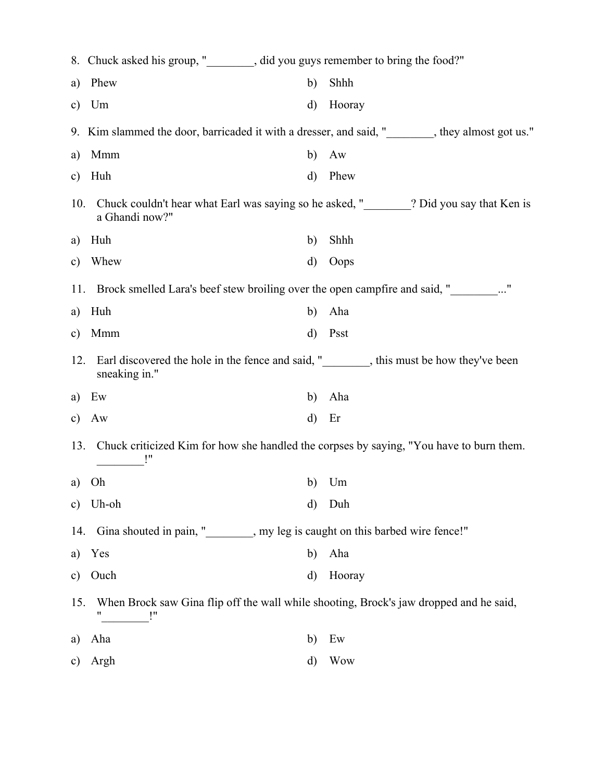|               | 8. Chuck asked his group, "________, did you guys remember to bring the food?"                            |              |                                                                                         |  |  |  |
|---------------|-----------------------------------------------------------------------------------------------------------|--------------|-----------------------------------------------------------------------------------------|--|--|--|
| a)            | Phew                                                                                                      | b)           | Shhh                                                                                    |  |  |  |
| $\mathbf{c})$ | Um                                                                                                        | d)           | Hooray                                                                                  |  |  |  |
|               | 9. Kim slammed the door, barricaded it with a dresser, and said, " state begins they almost got us."      |              |                                                                                         |  |  |  |
| a)            | Mmm                                                                                                       | b)           | Aw                                                                                      |  |  |  |
| c)            | Huh                                                                                                       | d)           | Phew                                                                                    |  |  |  |
| 10.           | a Ghandi now?"                                                                                            |              | Chuck couldn't hear what Earl was saying so he asked, "_______? Did you say that Ken is |  |  |  |
| a)            | Huh                                                                                                       | b)           | Shhh                                                                                    |  |  |  |
| c)            | Whew                                                                                                      | d)           | Oops                                                                                    |  |  |  |
|               | Brock smelled Lara's beef stew broiling over the open campfire and said, "<br>_________"<br>11.           |              |                                                                                         |  |  |  |
| a)            | Huh                                                                                                       | b)           | Aha                                                                                     |  |  |  |
| $\mathbf{c})$ | Mmm                                                                                                       | d)           | Psst                                                                                    |  |  |  |
| 12.           | sneaking in."                                                                                             |              | Earl discovered the hole in the fence and said, " state this must be how they've been   |  |  |  |
| a)            | Ew                                                                                                        | b)           | Aha                                                                                     |  |  |  |
| $\mathbf{c})$ | Aw                                                                                                        | $\mathbf{d}$ | Er                                                                                      |  |  |  |
| 13.           | Chuck criticized Kim for how she handled the corpses by saying, "You have to burn them.                   |              |                                                                                         |  |  |  |
| a)            | Oh                                                                                                        | b)           | Um                                                                                      |  |  |  |
| $\mathbf{c})$ | Uh-oh                                                                                                     | d)           | Duh                                                                                     |  |  |  |
| 14.           | Gina shouted in pain, " subsetonal pay leg is caught on this barbed wire fence!"                          |              |                                                                                         |  |  |  |
| a)            | Yes                                                                                                       | b)           | Aha                                                                                     |  |  |  |
| $\mathbf{c})$ | Ouch                                                                                                      | d)           | Hooray                                                                                  |  |  |  |
|               | When Brock saw Gina flip off the wall while shooting, Brock's jaw dropped and he said,<br>15.<br>11<br>!" |              |                                                                                         |  |  |  |
| a)            | Aha                                                                                                       | b)           | Ew                                                                                      |  |  |  |
| $\mathbf{c})$ | Argh                                                                                                      | d)           | <b>Wow</b>                                                                              |  |  |  |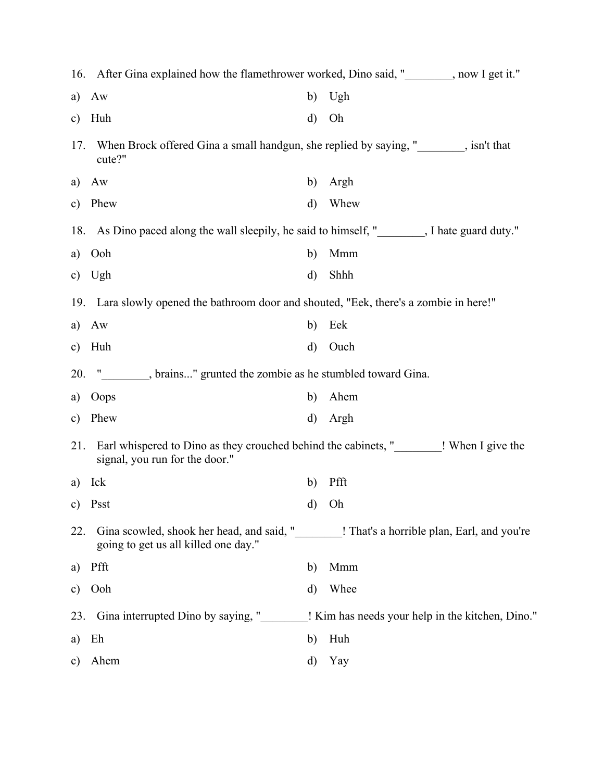|               | 16. After Gina explained how the flamethrower worked, Dino said, " subsetimed the Vietnam of the Vietnam of the Vietnam of the Vietnam of the Vietnam of the Vietnam of the Vietnam of the Vietnam of the Vietnam of the Vietn |              |                                                                                              |
|---------------|--------------------------------------------------------------------------------------------------------------------------------------------------------------------------------------------------------------------------------|--------------|----------------------------------------------------------------------------------------------|
| a)            | Aw                                                                                                                                                                                                                             | b)           | Ugh                                                                                          |
| $\mathbf{c})$ | Huh                                                                                                                                                                                                                            | d)           | Oh                                                                                           |
| 17.           | When Brock offered Gina a small handgun, she replied by saying, " signally barrow bandgun when Brock offered Gina a small handgun, she replied by saying, " signally bandgun and that<br>cute?"                                |              |                                                                                              |
| a)            | Aw                                                                                                                                                                                                                             | b)           | Argh                                                                                         |
| $\mathbf{c})$ | Phew                                                                                                                                                                                                                           | d)           | Whew                                                                                         |
|               | 18. As Dino paced along the wall sleepily, he said to himself, " Sall 18. As Dino paced along the wall sleepily, he said to himself, " Sall 18. As Dino paced along the wall sleepily, he said to himself, " Sall 18. As Dino  |              |                                                                                              |
| a)            | Ooh                                                                                                                                                                                                                            | b)           | Mmm                                                                                          |
| c)            | Ugh                                                                                                                                                                                                                            | $\rm d)$     | Shhh                                                                                         |
|               | 19. Lara slowly opened the bathroom door and shouted, "Eek, there's a zombie in here!"                                                                                                                                         |              |                                                                                              |
| a)            | Aw                                                                                                                                                                                                                             | b)           | Eek                                                                                          |
| $\mathbf{c})$ | Huh                                                                                                                                                                                                                            | d)           | Ouch                                                                                         |
| 20.           | . brains" grunted the zombie as he stumbled toward Gina.                                                                                                                                                                       |              |                                                                                              |
| a)            | Oops                                                                                                                                                                                                                           | b)           | Ahem                                                                                         |
| $\mathbf{c})$ | Phew                                                                                                                                                                                                                           | $\rm d)$     | Argh                                                                                         |
| 21.           | Earl whispered to Dino as they crouched behind the cabinets, " When I give the<br>signal, you run for the door."                                                                                                               |              |                                                                                              |
| a)            | Ick                                                                                                                                                                                                                            | b)           | Pfft                                                                                         |
|               | c) Psst                                                                                                                                                                                                                        | $\mathbf{d}$ | Oh                                                                                           |
| 22.           | going to get us all killed one day."                                                                                                                                                                                           |              | Gina scowled, shook her head, and said, "_________! That's a horrible plan, Earl, and you're |
| a)            | Pfft                                                                                                                                                                                                                           | b)           | Mmm                                                                                          |
| c)            | Ooh                                                                                                                                                                                                                            | d)           | Whee                                                                                         |
| 23.           | Gina interrupted Dino by saying, "                                                                                                                                                                                             |              | ! Kim has needs your help in the kitchen, Dino."                                             |
| a)            | Eh                                                                                                                                                                                                                             | b)           | Huh                                                                                          |
| c)            | Ahem                                                                                                                                                                                                                           | d)           | Yay                                                                                          |